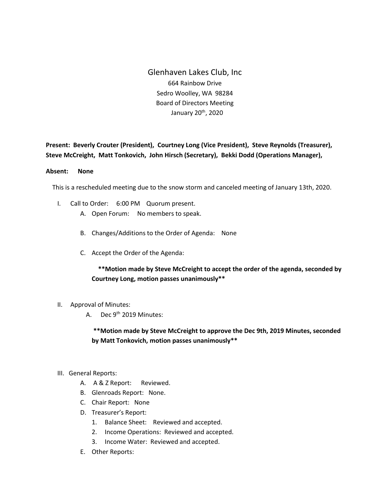Glenhaven Lakes Club, Inc 664 Rainbow Drive Sedro Woolley, WA 98284 Board of Directors Meeting January 20th, 2020

**Present: Beverly Crouter (President), Courtney Long (Vice President), Steve Reynolds (Treasurer), Steve McCreight, Matt Tonkovich, John Hirsch (Secretary), Bekki Dodd (Operations Manager),** 

## **Absent: None**

This is a rescheduled meeting due to the snow storm and canceled meeting of January 13th, 2020.

- I. Call to Order: 6:00 PM Quorum present.
	- A. Open Forum: No members to speak.
	- B. Changes/Additions to the Order of Agenda: None
	- C. Accept the Order of the Agenda:

 **\*\*Motion made by Steve McCreight to accept the order of the agenda, seconded by Courtney Long, motion passes unanimously\*\***

- II. Approval of Minutes:
	- A. Dec 9<sup>th</sup> 2019 Minutes:

**\*\*Motion made by Steve McCreight to approve the Dec 9th, 2019 Minutes, seconded by Matt Tonkovich, motion passes unanimously\*\***

- III. General Reports:
	- A. A & Z Report: Reviewed.
	- B. Glenroads Report: None.
	- C. Chair Report: None
	- D. Treasurer's Report:
		- 1. Balance Sheet: Reviewed and accepted.
		- 2. Income Operations: Reviewed and accepted.
		- 3. Income Water: Reviewed and accepted.
	- E. Other Reports: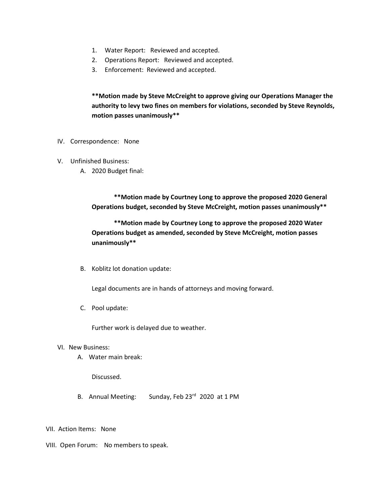- 1. Water Report: Reviewed and accepted.
- 2. Operations Report: Reviewed and accepted.
- 3. Enforcement: Reviewed and accepted.

**\*\*Motion made by Steve McCreight to approve giving our Operations Manager the authority to levy two fines on members for violations, seconded by Steve Reynolds, motion passes unanimously\*\***

- IV. Correspondence: None
- V. Unfinished Business:
	- A. 2020 Budget final:

 **\*\*Motion made by Courtney Long to approve the proposed 2020 General Operations budget, seconded by Steve McCreight, motion passes unanimously\*\***

 **\*\*Motion made by Courtney Long to approve the proposed 2020 Water Operations budget as amended, seconded by Steve McCreight, motion passes unanimously\*\***

B. Koblitz lot donation update:

Legal documents are in hands of attorneys and moving forward.

C. Pool update:

Further work is delayed due to weather.

- VI. New Business:
	- A. Water main break:

Discussed.

- B. Annual Meeting: Sunday, Feb 23rd 2020 at 1 PM
- VII. Action Items: None
- VIII. Open Forum: No members to speak.